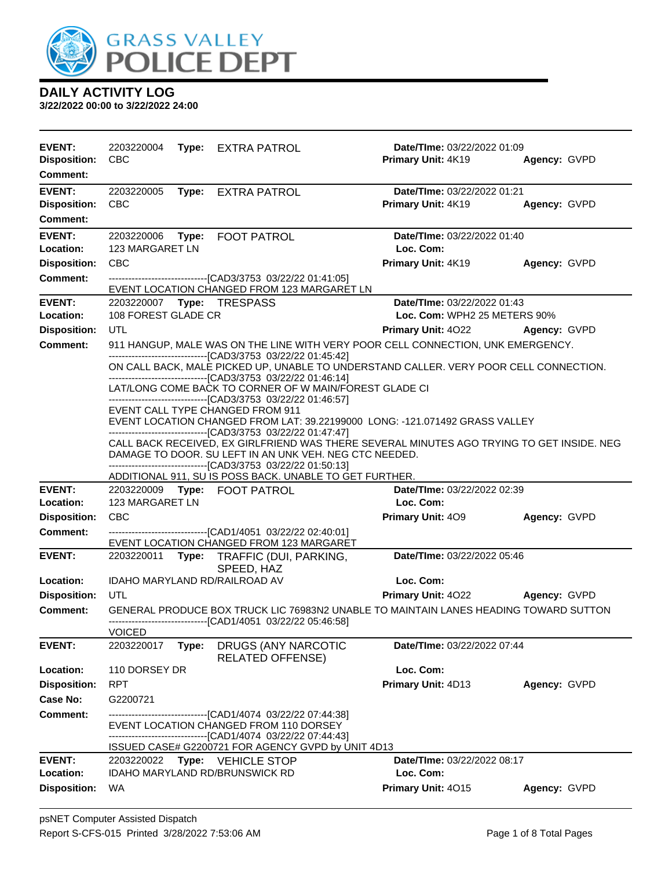

| <b>EVENT:</b><br><b>Disposition:</b><br>Comment:        | 2203220004<br><b>CBC</b> |       | Type: EXTRA PATROL                                                                                                                                                                                                      | Date/TIme: 03/22/2022 01:09<br>Primary Unit: 4K19           | Agency: GVPD |
|---------------------------------------------------------|--------------------------|-------|-------------------------------------------------------------------------------------------------------------------------------------------------------------------------------------------------------------------------|-------------------------------------------------------------|--------------|
| <b>EVENT:</b><br><b>Disposition:</b><br><b>Comment:</b> | 2203220005<br><b>CBC</b> |       | Type: EXTRA PATROL                                                                                                                                                                                                      | Date/TIme: 03/22/2022 01:21<br>Primary Unit: 4K19           | Agency: GVPD |
| <b>EVENT:</b><br>Location:                              | 123 MARGARET LN          |       | 2203220006    Type: FOOT PATROL                                                                                                                                                                                         | Date/TIme: 03/22/2022 01:40<br>Loc. Com:                    |              |
| <b>Disposition:</b>                                     | <b>CBC</b>               |       |                                                                                                                                                                                                                         | Primary Unit: 4K19                                          | Agency: GVPD |
| <b>Comment:</b>                                         |                          |       | --------------------------------[CAD3/3753 03/22/22 01:41:05]<br>EVENT LOCATION CHANGED FROM 123 MARGARET LN                                                                                                            |                                                             |              |
| <b>EVENT:</b><br>Location:                              | 108 FOREST GLADE CR      |       |                                                                                                                                                                                                                         | Date/TIme: 03/22/2022 01:43<br>Loc. Com: WPH2 25 METERS 90% |              |
| <b>Disposition:</b>                                     | UTL                      |       |                                                                                                                                                                                                                         | <b>Primary Unit: 4022 Agency: GVPD</b>                      |              |
| <b>Comment:</b>                                         |                          |       | 911 HANGUP, MALE WAS ON THE LINE WITH VERY POOR CELL CONNECTION, UNK EMERGENCY.                                                                                                                                         |                                                             |              |
|                                                         |                          |       | --------------------------------[CAD3/3753 03/22/22 01:45:42]<br>ON CALL BACK, MALE PICKED UP, UNABLE TO UNDERSTAND CALLER. VERY POOR CELL CONNECTION.<br>--------------------------------[CAD3/3753_03/22/22_01:46:14] |                                                             |              |
|                                                         |                          |       | LAT/LONG COME BACK TO CORNER OF W MAIN/FOREST GLADE CI<br>-------------------------------[CAD3/3753_03/22/22_01:46:57]                                                                                                  |                                                             |              |
|                                                         |                          |       | EVENT CALL TYPE CHANGED FROM 911<br>EVENT LOCATION CHANGED FROM LAT: 39.22199000 LONG: -121.071492 GRASS VALLEY<br>------------------------------[CAD3/3753_03/22/22 01:47:47]                                          |                                                             |              |
|                                                         |                          |       | CALL BACK RECEIVED, EX GIRLFRIEND WAS THERE SEVERAL MINUTES AGO TRYING TO GET INSIDE. NEG<br>DAMAGE TO DOOR. SU LEFT IN AN UNK VEH. NEG CTC NEEDED.<br>-------------------------------[CAD3/3753 03/22/22 01:50:13]     |                                                             |              |
|                                                         |                          |       | ADDITIONAL 911, SU IS POSS BACK. UNABLE TO GET FURTHER.                                                                                                                                                                 |                                                             |              |
| <b>EVENT:</b>                                           |                          |       | 2203220009    Type: FOOT PATROL                                                                                                                                                                                         | Date/TIme: 03/22/2022 02:39                                 |              |
| Location:                                               | 123 MARGARET LN          |       |                                                                                                                                                                                                                         | Loc. Com:                                                   |              |
| <b>Disposition:</b><br>Comment:                         | <b>CBC</b>               |       | ------------------------------[CAD1/4051 03/22/22 02:40:01]                                                                                                                                                             | <b>Primary Unit: 409</b>                                    | Agency: GVPD |
|                                                         |                          |       | EVENT LOCATION CHANGED FROM 123 MARGARET                                                                                                                                                                                |                                                             |              |
| <b>EVENT:</b>                                           |                          |       | 2203220011 Type: TRAFFIC (DUI, PARKING,<br>SPEED, HAZ                                                                                                                                                                   | Date/TIme: 03/22/2022 05:46                                 |              |
| Location:                                               |                          |       | IDAHO MARYLAND RD/RAILROAD AV                                                                                                                                                                                           | Loc. Com:                                                   |              |
| <b>Disposition:</b>                                     | UTL                      |       |                                                                                                                                                                                                                         | <b>Primary Unit: 4022</b>                                   | Agency: GVPD |
| Comment:                                                | <b>VOICED</b>            |       | GENERAL PRODUCE BOX TRUCK LIC 76983N2 UNABLE TO MAINTAIN LANES HEADING TOWARD SUTTON<br>------------------------------[CAD1/4051_03/22/22 05:46:58]                                                                     |                                                             |              |
| <b>EVENT:</b>                                           | 2203220017               | Type: | DRUGS (ANY NARCOTIC<br><b>RELATED OFFENSE)</b>                                                                                                                                                                          | Date/TIme: 03/22/2022 07:44                                 |              |
| Location:                                               | 110 DORSEY DR            |       |                                                                                                                                                                                                                         | Loc. Com:                                                   |              |
| <b>Disposition:</b>                                     | <b>RPT</b>               |       |                                                                                                                                                                                                                         | Primary Unit: 4D13                                          | Agency: GVPD |
| Case No:                                                | G2200721                 |       |                                                                                                                                                                                                                         |                                                             |              |
| <b>Comment:</b>                                         |                          |       | ---------------------------[CAD1/4074_03/22/22 07:44:38]<br>EVENT LOCATION CHANGED FROM 110 DORSEY                                                                                                                      |                                                             |              |
|                                                         |                          |       | ------------------------[CAD1/4074_03/22/22 07:44:43]<br>ISSUED CASE# G2200721 FOR AGENCY GVPD by UNIT 4D13                                                                                                             |                                                             |              |
| <b>EVENT:</b><br>Location:                              | 2203220022               |       | <b>Type: VEHICLE STOP</b><br><b>IDAHO MARYLAND RD/BRUNSWICK RD</b>                                                                                                                                                      | Date/TIme: 03/22/2022 08:17<br>Loc. Com:                    |              |
| <b>Disposition:</b>                                     | <b>WA</b>                |       |                                                                                                                                                                                                                         | Primary Unit: 4015                                          | Agency: GVPD |
|                                                         |                          |       |                                                                                                                                                                                                                         |                                                             |              |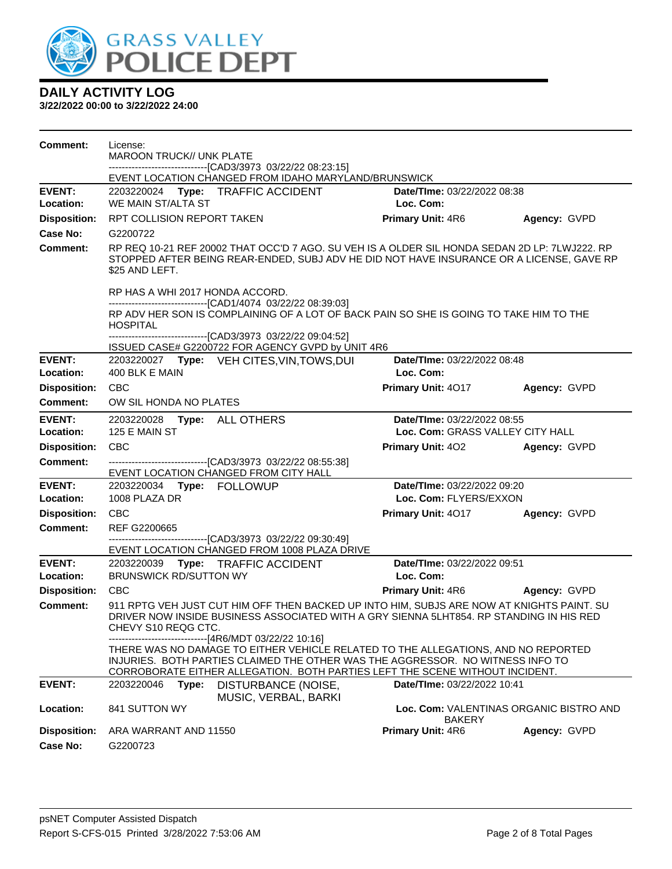

| <b>Comment:</b>            | License:<br><b>MAROON TRUCK// UNK PLATE</b><br>-------------------------------[CAD3/3973 03/22/22 08:23:15]                                                                                                                                                                                  |                                          |              |  |  |
|----------------------------|----------------------------------------------------------------------------------------------------------------------------------------------------------------------------------------------------------------------------------------------------------------------------------------------|------------------------------------------|--------------|--|--|
|                            | EVENT LOCATION CHANGED FROM IDAHO MARYLAND/BRUNSWICK                                                                                                                                                                                                                                         |                                          |              |  |  |
| <b>EVENT:</b><br>Location: | 2203220024<br>Type: TRAFFIC ACCIDENT<br>WE MAIN ST/ALTA ST                                                                                                                                                                                                                                   | Date/TIme: 03/22/2022 08:38<br>Loc. Com: |              |  |  |
| <b>Disposition:</b>        | RPT COLLISION REPORT TAKEN                                                                                                                                                                                                                                                                   | <b>Primary Unit: 4R6</b>                 | Agency: GVPD |  |  |
| Case No:                   | G2200722                                                                                                                                                                                                                                                                                     |                                          |              |  |  |
| <b>Comment:</b>            | RP REQ 10-21 REF 20002 THAT OCC'D 7 AGO. SU VEH IS A OLDER SIL HONDA SEDAN 2D LP: 7LWJ222. RP<br>STOPPED AFTER BEING REAR-ENDED, SUBJ ADV HE DID NOT HAVE INSURANCE OR A LICENSE, GAVE RP<br>\$25 AND LEFT.                                                                                  |                                          |              |  |  |
|                            | RP HAS A WHI 2017 HONDA ACCORD.                                                                                                                                                                                                                                                              |                                          |              |  |  |
|                            | --------------------------------[CAD1/4074 03/22/22 08:39:03]<br>RP ADV HER SON IS COMPLAINING OF A LOT OF BACK PAIN SO SHE IS GOING TO TAKE HIM TO THE<br><b>HOSPITAL</b><br>----------------------------[CAD3/3973_03/22/22_09:04:52]<br>ISSUED CASE# G2200722 FOR AGENCY GVPD by UNIT 4R6 |                                          |              |  |  |
| <b>EVENT:</b>              | 2203220027 Type: VEH CITES, VIN, TOWS, DUI                                                                                                                                                                                                                                                   | Date/TIme: 03/22/2022 08:48              |              |  |  |
| Location:                  | 400 BLK E MAIN                                                                                                                                                                                                                                                                               | Loc. Com:                                |              |  |  |
| <b>Disposition:</b>        | <b>CBC</b>                                                                                                                                                                                                                                                                                   | Primary Unit: 4017                       | Agency: GVPD |  |  |
| Comment:                   | OW SIL HONDA NO PLATES                                                                                                                                                                                                                                                                       |                                          |              |  |  |
| <b>EVENT:</b>              | 2203220028 Type: ALL OTHERS                                                                                                                                                                                                                                                                  | Date/TIme: 03/22/2022 08:55              |              |  |  |
| Location:                  | 125 E MAIN ST                                                                                                                                                                                                                                                                                | Loc. Com: GRASS VALLEY CITY HALL         |              |  |  |
| <b>Disposition:</b>        | <b>CBC</b>                                                                                                                                                                                                                                                                                   | Primary Unit: 402                        | Agency: GVPD |  |  |
| <b>Comment:</b>            | ---------------------------------[CAD3/3973 03/22/22 08:55:38]<br>EVENT LOCATION CHANGED FROM CITY HALL                                                                                                                                                                                      |                                          |              |  |  |
| <b>EVENT:</b>              | 2203220034 Type: FOLLOWUP                                                                                                                                                                                                                                                                    | Date/TIme: 03/22/2022 09:20              |              |  |  |
| Location:                  | 1008 PLAZA DR                                                                                                                                                                                                                                                                                | Loc. Com: FLYERS/EXXON                   |              |  |  |
| <b>Disposition:</b>        | <b>CBC</b>                                                                                                                                                                                                                                                                                   | Primary Unit: 4017                       | Agency: GVPD |  |  |
| <b>Comment:</b>            | REF G2200665<br>--------------------------------[CAD3/3973 03/22/22 09:30:49]                                                                                                                                                                                                                |                                          |              |  |  |
|                            | EVENT LOCATION CHANGED FROM 1008 PLAZA DRIVE                                                                                                                                                                                                                                                 |                                          |              |  |  |
| <b>EVENT:</b>              | 2203220039 Type: TRAFFIC ACCIDENT                                                                                                                                                                                                                                                            | Date/TIme: 03/22/2022 09:51              |              |  |  |
| Location:                  | <b>BRUNSWICK RD/SUTTON WY</b>                                                                                                                                                                                                                                                                | Loc. Com:                                |              |  |  |
| <b>Disposition:</b>        | <b>CBC</b>                                                                                                                                                                                                                                                                                   | <b>Primary Unit: 4R6</b>                 | Agency: GVPD |  |  |
| <b>Comment:</b>            | 911 RPTG VEH JUST CUT HIM OFF THEN BACKED UP INTO HIM, SUBJS ARE NOW AT KNIGHTS PAINT. SU<br>DRIVER NOW INSIDE BUSINESS ASSOCIATED WITH A GRY SIENNA 5LHT854. RP STANDING IN HIS RED<br>CHEVY S10 REQG CTC.<br>--------------------------------[4R6/MDT 03/22/22 10:16]                      |                                          |              |  |  |
|                            | THERE WAS NO DAMAGE TO EITHER VEHICLE RELATED TO THE ALLEGATIONS, AND NO REPORTED<br>INJURIES. BOTH PARTIES CLAIMED THE OTHER WAS THE AGGRESSOR. NO WITNESS INFO TO<br>CORROBORATE EITHER ALLEGATION. BOTH PARTIES LEFT THE SCENE WITHOUT INCIDENT.                                          |                                          |              |  |  |
| <b>EVENT:</b>              | 2203220046<br>Type:<br>DISTURBANCE (NOISE,<br>MUSIC, VERBAL, BARKI                                                                                                                                                                                                                           | Date/TIme: 03/22/2022 10:41              |              |  |  |
| Location:                  | 841 SUTTON WY<br>Loc. Com: VALENTINAS ORGANIC BISTRO AND<br><b>BAKERY</b>                                                                                                                                                                                                                    |                                          |              |  |  |
| <b>Disposition:</b>        | ARA WARRANT AND 11550                                                                                                                                                                                                                                                                        | <b>Primary Unit: 4R6</b>                 | Agency: GVPD |  |  |
| Case No:                   | G2200723                                                                                                                                                                                                                                                                                     |                                          |              |  |  |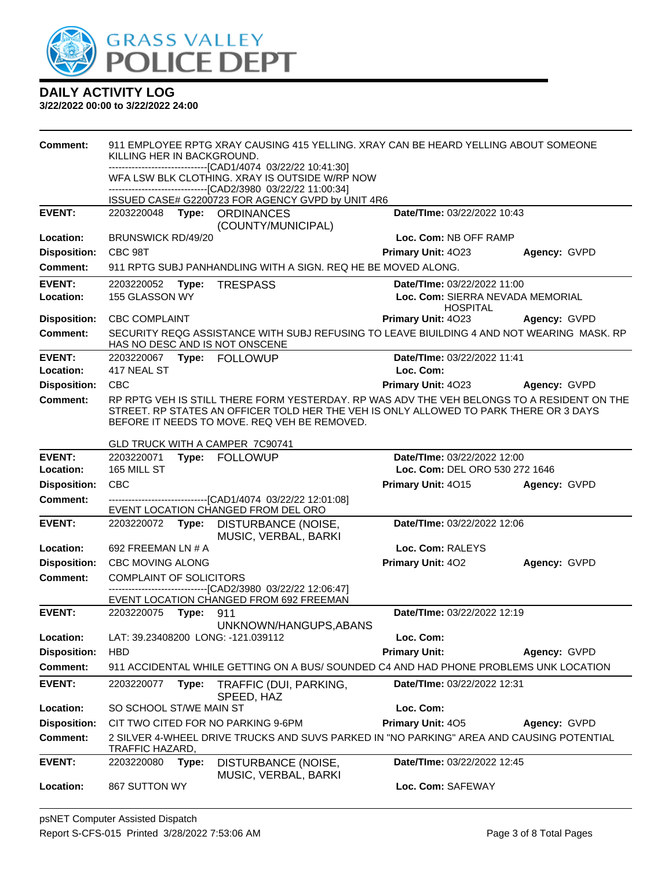

| <b>Comment:</b>                  | 911 EMPLOYEE RPTG XRAY CAUSING 415 YELLING. XRAY CAN BE HEARD YELLING ABOUT SOMEONE<br>KILLING HER IN BACKGROUND.<br>-------------------------------[CAD1/4074 03/22/22 10:41:30] |                                                                                                             |                                                                                                                                                                                                                                     |                                                                                    |              |
|----------------------------------|-----------------------------------------------------------------------------------------------------------------------------------------------------------------------------------|-------------------------------------------------------------------------------------------------------------|-------------------------------------------------------------------------------------------------------------------------------------------------------------------------------------------------------------------------------------|------------------------------------------------------------------------------------|--------------|
|                                  |                                                                                                                                                                                   |                                                                                                             | WFA LSW BLK CLOTHING. XRAY IS OUTSIDE W/RP NOW<br>-------------------------------[CAD2/3980 03/22/22 11:00:34]                                                                                                                      |                                                                                    |              |
|                                  |                                                                                                                                                                                   |                                                                                                             | ISSUED CASE# G2200723 FOR AGENCY GVPD by UNIT 4R6                                                                                                                                                                                   |                                                                                    |              |
| <b>EVENT:</b>                    | 2203220048                                                                                                                                                                        |                                                                                                             | Type: ORDINANCES<br>(COUNTY/MUNICIPAL)                                                                                                                                                                                              | Date/TIme: 03/22/2022 10:43                                                        |              |
| Location:                        | <b>BRUNSWICK RD/49/20</b>                                                                                                                                                         |                                                                                                             |                                                                                                                                                                                                                                     | Loc. Com: NB OFF RAMP                                                              |              |
| <b>Disposition:</b>              | CBC 98T                                                                                                                                                                           |                                                                                                             |                                                                                                                                                                                                                                     | <b>Primary Unit: 4023</b>                                                          | Agency: GVPD |
| <b>Comment:</b>                  |                                                                                                                                                                                   |                                                                                                             | 911 RPTG SUBJ PANHANDLING WITH A SIGN. REQ HE BE MOVED ALONG.                                                                                                                                                                       |                                                                                    |              |
| <b>EVENT:</b><br>Location:       | 2203220052 Type:<br>155 GLASSON WY                                                                                                                                                |                                                                                                             | <b>TRESPASS</b>                                                                                                                                                                                                                     | Date/TIme: 03/22/2022 11:00<br>Loc. Com: SIERRA NEVADA MEMORIAL<br><b>HOSPITAL</b> |              |
| <b>Disposition:</b>              | <b>CBC COMPLAINT</b>                                                                                                                                                              |                                                                                                             |                                                                                                                                                                                                                                     | Primary Unit: 4023                                                                 | Agency: GVPD |
| <b>Comment:</b>                  |                                                                                                                                                                                   |                                                                                                             | SECURITY REQG ASSISTANCE WITH SUBJ REFUSING TO LEAVE BIUILDING 4 AND NOT WEARING MASK. RP<br>HAS NO DESC AND IS NOT ONSCENE                                                                                                         |                                                                                    |              |
| <b>EVENT:</b>                    |                                                                                                                                                                                   |                                                                                                             |                                                                                                                                                                                                                                     | Date/TIme: 03/22/2022 11:41                                                        |              |
| Location:                        | 417 NEAL ST                                                                                                                                                                       |                                                                                                             |                                                                                                                                                                                                                                     | Loc. Com:                                                                          |              |
| <b>Disposition:</b>              | CBC                                                                                                                                                                               |                                                                                                             |                                                                                                                                                                                                                                     | <b>Primary Unit: 4023</b>                                                          | Agency: GVPD |
| <b>Comment:</b>                  |                                                                                                                                                                                   |                                                                                                             | RP RPTG VEH IS STILL THERE FORM YESTERDAY. RP WAS ADV THE VEH BELONGS TO A RESIDENT ON THE<br>STREET. RP STATES AN OFFICER TOLD HER THE VEH IS ONLY ALLOWED TO PARK THERE OR 3 DAYS<br>BEFORE IT NEEDS TO MOVE. REQ VEH BE REMOVED. |                                                                                    |              |
|                                  |                                                                                                                                                                                   |                                                                                                             | GLD TRUCK WITH A CAMPER 7C90741                                                                                                                                                                                                     |                                                                                    |              |
| <b>EVENT:</b><br>Location:       | 2203220071<br>165 MILL ST                                                                                                                                                         |                                                                                                             | Type: FOLLOWUP                                                                                                                                                                                                                      | Date/TIme: 03/22/2022 12:00<br>Loc. Com: DEL ORO 530 272 1646                      |              |
| <b>Disposition:</b>              | <b>CBC</b>                                                                                                                                                                        |                                                                                                             |                                                                                                                                                                                                                                     | Primary Unit: 4015                                                                 | Agency: GVPD |
| <b>Comment:</b>                  |                                                                                                                                                                                   |                                                                                                             | -------------------------------[CAD1/4074 03/22/22 12:01:08]                                                                                                                                                                        |                                                                                    |              |
|                                  |                                                                                                                                                                                   |                                                                                                             | EVENT LOCATION CHANGED FROM DEL ORO                                                                                                                                                                                                 |                                                                                    |              |
| <b>EVENT:</b>                    | 2203220072                                                                                                                                                                        | Type:                                                                                                       | DISTURBANCE (NOISE,<br>MUSIC, VERBAL, BARKI                                                                                                                                                                                         | Date/TIme: 03/22/2022 12:06                                                        |              |
| Location:                        | 692 FREEMAN LN # A                                                                                                                                                                |                                                                                                             |                                                                                                                                                                                                                                     | Loc. Com: RALEYS                                                                   |              |
| <b>Disposition:</b>              | <b>CBC MOVING ALONG</b>                                                                                                                                                           |                                                                                                             |                                                                                                                                                                                                                                     | Primary Unit: 402                                                                  | Agency: GVPD |
| <b>Comment:</b>                  | <b>COMPLAINT OF SOLICITORS</b>                                                                                                                                                    |                                                                                                             |                                                                                                                                                                                                                                     |                                                                                    |              |
|                                  |                                                                                                                                                                                   |                                                                                                             | -------------------------------[CAD2/3980 03/22/22 12:06:47]<br>EVENT LOCATION CHANGED FROM 692 FREEMAN                                                                                                                             |                                                                                    |              |
| <b>EVENT:</b>                    | 2203220075 Type:                                                                                                                                                                  |                                                                                                             | 911                                                                                                                                                                                                                                 | Date/TIme: 03/22/2022 12:19                                                        |              |
|                                  |                                                                                                                                                                                   |                                                                                                             | UNKNOWN/HANGUPS, ABANS                                                                                                                                                                                                              |                                                                                    |              |
| Location:<br><b>Disposition:</b> | <b>HBD</b>                                                                                                                                                                        |                                                                                                             | LAT: 39.23408200 LONG: -121.039112                                                                                                                                                                                                  | Loc. Com:<br><b>Primary Unit:</b>                                                  | Agency: GVPD |
| <b>Comment:</b>                  |                                                                                                                                                                                   |                                                                                                             | 911 ACCIDENTAL WHILE GETTING ON A BUS/ SOUNDED C4 AND HAD PHONE PROBLEMS UNK LOCATION                                                                                                                                               |                                                                                    |              |
| <b>EVENT:</b>                    | 2203220077                                                                                                                                                                        | Type:                                                                                                       |                                                                                                                                                                                                                                     | Date/Time: 03/22/2022 12:31                                                        |              |
|                                  |                                                                                                                                                                                   |                                                                                                             | TRAFFIC (DUI, PARKING,<br>SPEED, HAZ                                                                                                                                                                                                |                                                                                    |              |
| Location:                        | SO SCHOOL ST/WE MAIN ST<br>Loc. Com:                                                                                                                                              |                                                                                                             |                                                                                                                                                                                                                                     |                                                                                    |              |
| <b>Disposition:</b>              |                                                                                                                                                                                   |                                                                                                             | CIT TWO CITED FOR NO PARKING 9-6PM                                                                                                                                                                                                  | Primary Unit: 405                                                                  | Agency: GVPD |
| <b>Comment:</b>                  |                                                                                                                                                                                   | 2 SILVER 4-WHEEL DRIVE TRUCKS AND SUVS PARKED IN "NO PARKING" AREA AND CAUSING POTENTIAL<br>TRAFFIC HAZARD, |                                                                                                                                                                                                                                     |                                                                                    |              |
| <b>EVENT:</b>                    | 2203220080                                                                                                                                                                        | Type:                                                                                                       | DISTURBANCE (NOISE,                                                                                                                                                                                                                 | Date/TIme: 03/22/2022 12:45                                                        |              |
| Location:                        | 867 SUTTON WY                                                                                                                                                                     |                                                                                                             | MUSIC, VERBAL, BARKI                                                                                                                                                                                                                | Loc. Com: SAFEWAY                                                                  |              |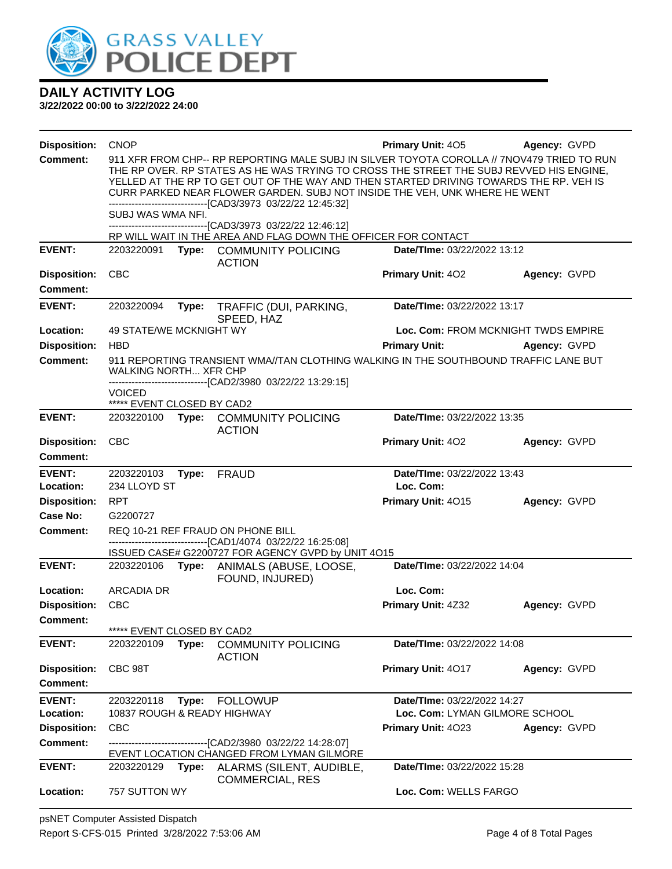

| <b>Disposition:</b>                    | <b>CNOP</b>                                                                                                                                                                                                                                                                                                                                                                                                                   |       |                                                                                                                                                      | Primary Unit: 405                                             | Agency: GVPD |
|----------------------------------------|-------------------------------------------------------------------------------------------------------------------------------------------------------------------------------------------------------------------------------------------------------------------------------------------------------------------------------------------------------------------------------------------------------------------------------|-------|------------------------------------------------------------------------------------------------------------------------------------------------------|---------------------------------------------------------------|--------------|
| <b>Comment:</b>                        | 911 XFR FROM CHP-- RP REPORTING MALE SUBJ IN SILVER TOYOTA COROLLA // 7NOV479 TRIED TO RUN<br>THE RP OVER. RP STATES AS HE WAS TRYING TO CROSS THE STREET THE SUBJ REVVED HIS ENGINE.<br>YELLED AT THE RP TO GET OUT OF THE WAY AND THEN STARTED DRIVING TOWARDS THE RP. VEH IS<br>CURR PARKED NEAR FLOWER GARDEN. SUBJ NOT INSIDE THE VEH, UNK WHERE HE WENT<br>-------------------------------[CAD3/3973_03/22/22 12:45:32] |       |                                                                                                                                                      |                                                               |              |
|                                        | SUBJ WAS WMA NFI.                                                                                                                                                                                                                                                                                                                                                                                                             |       | -------------------------------[CAD3/3973_03/22/22_12:46:12]                                                                                         |                                                               |              |
|                                        |                                                                                                                                                                                                                                                                                                                                                                                                                               |       | RP WILL WAIT IN THE AREA AND FLAG DOWN THE OFFICER FOR CONTACT                                                                                       |                                                               |              |
| <b>EVENT:</b>                          | 2203220091                                                                                                                                                                                                                                                                                                                                                                                                                    |       | Type: COMMUNITY POLICING<br><b>ACTION</b>                                                                                                            | Date/TIme: 03/22/2022 13:12                                   |              |
| <b>Disposition:</b>                    | <b>CBC</b>                                                                                                                                                                                                                                                                                                                                                                                                                    |       |                                                                                                                                                      | <b>Primary Unit: 402</b>                                      | Agency: GVPD |
| <b>Comment:</b>                        |                                                                                                                                                                                                                                                                                                                                                                                                                               |       |                                                                                                                                                      |                                                               |              |
| <b>EVENT:</b>                          | 2203220094                                                                                                                                                                                                                                                                                                                                                                                                                    | Type: | TRAFFIC (DUI, PARKING,<br>SPEED, HAZ                                                                                                                 | Date/TIme: 03/22/2022 13:17                                   |              |
| Location:                              | 49 STATE/WE MCKNIGHT WY                                                                                                                                                                                                                                                                                                                                                                                                       |       |                                                                                                                                                      | Loc. Com: FROM MCKNIGHT TWDS EMPIRE                           |              |
| <b>Disposition:</b>                    | <b>HBD</b>                                                                                                                                                                                                                                                                                                                                                                                                                    |       |                                                                                                                                                      | <b>Primary Unit:</b>                                          | Agency: GVPD |
| <b>Comment:</b>                        | <b>WALKING NORTH XFR CHP</b>                                                                                                                                                                                                                                                                                                                                                                                                  |       | 911 REPORTING TRANSIENT WMA//TAN CLOTHING WALKING IN THE SOUTHBOUND TRAFFIC LANE BUT<br>-------------------------------[CAD2/3980_03/22/22 13:29:15] |                                                               |              |
|                                        | <b>VOICED</b>                                                                                                                                                                                                                                                                                                                                                                                                                 |       |                                                                                                                                                      |                                                               |              |
| <b>EVENT:</b>                          | ***** EVENT CLOSED BY CAD2                                                                                                                                                                                                                                                                                                                                                                                                    |       |                                                                                                                                                      | Date/TIme: 03/22/2022 13:35                                   |              |
|                                        | 2203220100                                                                                                                                                                                                                                                                                                                                                                                                                    |       | Type: COMMUNITY POLICING<br><b>ACTION</b>                                                                                                            |                                                               |              |
| <b>Disposition:</b>                    | <b>CBC</b>                                                                                                                                                                                                                                                                                                                                                                                                                    |       |                                                                                                                                                      | Primary Unit: 402                                             | Agency: GVPD |
| Comment:                               |                                                                                                                                                                                                                                                                                                                                                                                                                               |       |                                                                                                                                                      |                                                               |              |
| <b>EVENT:</b><br>Location:             | 2203220103<br>234 LLOYD ST                                                                                                                                                                                                                                                                                                                                                                                                    | Type: | <b>FRAUD</b>                                                                                                                                         | Date/TIme: 03/22/2022 13:43<br>Loc. Com:                      |              |
| <b>Disposition:</b>                    | <b>RPT</b>                                                                                                                                                                                                                                                                                                                                                                                                                    |       |                                                                                                                                                      | Primary Unit: 4015                                            | Agency: GVPD |
| Case No:                               | G2200727                                                                                                                                                                                                                                                                                                                                                                                                                      |       |                                                                                                                                                      |                                                               |              |
| <b>Comment:</b>                        |                                                                                                                                                                                                                                                                                                                                                                                                                               |       | REQ 10-21 REF FRAUD ON PHONE BILL                                                                                                                    |                                                               |              |
|                                        |                                                                                                                                                                                                                                                                                                                                                                                                                               |       | ------------------------------[CAD1/4074_03/22/22 16:25:08]<br>ISSUED CASE# G2200727 FOR AGENCY GVPD by UNIT 4O15                                    |                                                               |              |
| <b>EVENT:</b>                          |                                                                                                                                                                                                                                                                                                                                                                                                                               |       | 2203220106 Type: ANIMALS (ABUSE, LOOSE,                                                                                                              | Date/TIme: 03/22/2022 14:04                                   |              |
| Location:                              | <b>ARCADIA DR</b>                                                                                                                                                                                                                                                                                                                                                                                                             |       | FOUND, INJURED)                                                                                                                                      | Loc. Com:                                                     |              |
| <b>Disposition:</b>                    | <b>CBC</b>                                                                                                                                                                                                                                                                                                                                                                                                                    |       |                                                                                                                                                      | Primary Unit: 4Z32                                            | Agency: GVPD |
| Comment:                               |                                                                                                                                                                                                                                                                                                                                                                                                                               |       |                                                                                                                                                      |                                                               |              |
|                                        | ***** EVENT CLOSED BY CAD2                                                                                                                                                                                                                                                                                                                                                                                                    |       |                                                                                                                                                      |                                                               |              |
| <b>EVENT:</b>                          | 2203220109                                                                                                                                                                                                                                                                                                                                                                                                                    | Type: | <b>COMMUNITY POLICING</b><br><b>ACTION</b>                                                                                                           | Date/TIme: 03/22/2022 14:08                                   |              |
| <b>Disposition:</b><br><b>Comment:</b> | CBC 98T                                                                                                                                                                                                                                                                                                                                                                                                                       |       |                                                                                                                                                      | Primary Unit: 4017                                            | Agency: GVPD |
|                                        |                                                                                                                                                                                                                                                                                                                                                                                                                               |       |                                                                                                                                                      |                                                               |              |
| <b>EVENT:</b><br>Location:             | 2203220118<br>10837 ROUGH & READY HIGHWAY                                                                                                                                                                                                                                                                                                                                                                                     | Type: | <b>FOLLOWUP</b>                                                                                                                                      | Date/TIme: 03/22/2022 14:27<br>Loc. Com: LYMAN GILMORE SCHOOL |              |
| <b>Disposition:</b>                    | <b>CBC</b>                                                                                                                                                                                                                                                                                                                                                                                                                    |       |                                                                                                                                                      | Primary Unit: 4023                                            | Agency: GVPD |
| <b>Comment:</b>                        |                                                                                                                                                                                                                                                                                                                                                                                                                               |       | ----------------------[CAD2/3980 03/22/22 14:28:07]                                                                                                  |                                                               |              |
|                                        | EVENT LOCATION CHANGED FROM LYMAN GILMORE                                                                                                                                                                                                                                                                                                                                                                                     |       |                                                                                                                                                      |                                                               |              |
| <b>EVENT:</b>                          | 2203220129                                                                                                                                                                                                                                                                                                                                                                                                                    | Type: | ALARMS (SILENT, AUDIBLE,<br><b>COMMERCIAL, RES</b>                                                                                                   | Date/TIme: 03/22/2022 15:28                                   |              |
| Location:                              | 757 SUTTON WY                                                                                                                                                                                                                                                                                                                                                                                                                 |       |                                                                                                                                                      | Loc. Com: WELLS FARGO                                         |              |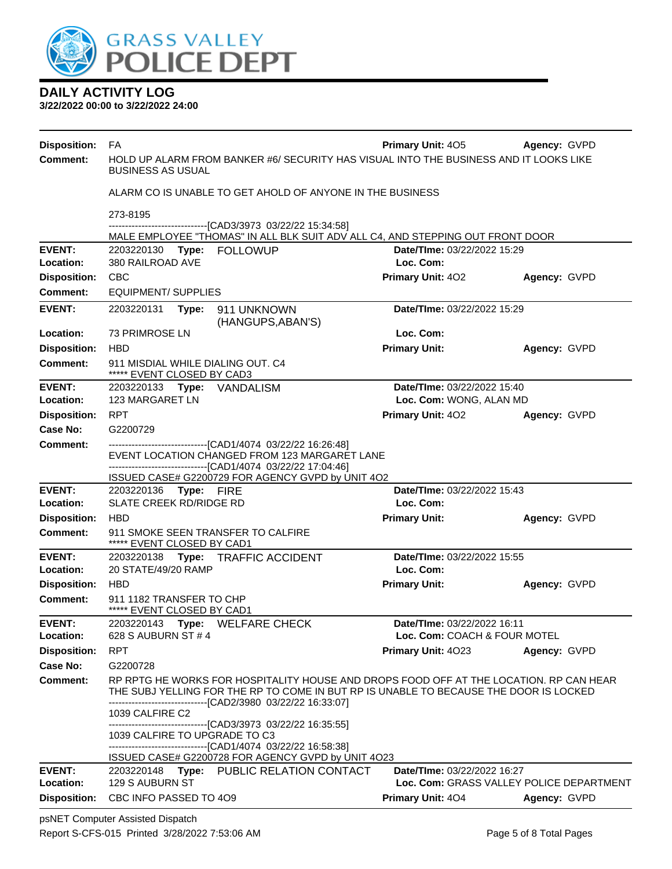

**3/22/2022 00:00 to 3/22/2022 24:00**

| <b>Disposition:</b>        | FA                                                                                                                                                                                                                                                                 | <b>Primary Unit: 405</b>                               | Agency: GVPD                             |  |  |  |  |  |
|----------------------------|--------------------------------------------------------------------------------------------------------------------------------------------------------------------------------------------------------------------------------------------------------------------|--------------------------------------------------------|------------------------------------------|--|--|--|--|--|
| <b>Comment:</b>            | HOLD UP ALARM FROM BANKER #6/ SECURITY HAS VISUAL INTO THE BUSINESS AND IT LOOKS LIKE<br><b>BUSINESS AS USUAL</b>                                                                                                                                                  |                                                        |                                          |  |  |  |  |  |
|                            | ALARM CO IS UNABLE TO GET AHOLD OF ANYONE IN THE BUSINESS                                                                                                                                                                                                          |                                                        |                                          |  |  |  |  |  |
|                            | 273-8195                                                                                                                                                                                                                                                           |                                                        |                                          |  |  |  |  |  |
|                            | ----------------[CAD3/3973_03/22/22 15:34:58]<br>MALE EMPLOYEE "THOMAS" IN ALL BLK SUIT ADV ALL C4, AND STEPPING OUT FRONT DOOR                                                                                                                                    |                                                        |                                          |  |  |  |  |  |
| <b>EVENT:</b>              | Date/TIme: 03/22/2022 15:29<br>2203220130 Type: FOLLOWUP                                                                                                                                                                                                           |                                                        |                                          |  |  |  |  |  |
| Location:                  | 380 RAILROAD AVE                                                                                                                                                                                                                                                   | Loc. Com:                                              |                                          |  |  |  |  |  |
| <b>Disposition:</b>        | <b>CBC</b>                                                                                                                                                                                                                                                         | Primary Unit: 402                                      | Agency: GVPD                             |  |  |  |  |  |
| Comment:                   | <b>EQUIPMENT/ SUPPLIES</b>                                                                                                                                                                                                                                         |                                                        |                                          |  |  |  |  |  |
| <b>EVENT:</b>              | Date/TIme: 03/22/2022 15:29<br>2203220131<br>Type: 911 UNKNOWN<br>(HANGUPS, ABAN'S)                                                                                                                                                                                |                                                        |                                          |  |  |  |  |  |
| Location:                  | 73 PRIMROSE LN                                                                                                                                                                                                                                                     | Loc. Com:                                              |                                          |  |  |  |  |  |
| <b>Disposition:</b>        | <b>HBD</b>                                                                                                                                                                                                                                                         | <b>Primary Unit:</b>                                   | Agency: GVPD                             |  |  |  |  |  |
| <b>Comment:</b>            | 911 MISDIAL WHILE DIALING OUT. C4<br>***** EVENT CLOSED BY CAD3                                                                                                                                                                                                    |                                                        |                                          |  |  |  |  |  |
| <b>EVENT:</b><br>Location: | 2203220133 Type: VANDALISM<br>123 MARGARET LN                                                                                                                                                                                                                      | Date/TIme: 03/22/2022 15:40<br>Loc. Com: WONG, ALAN MD |                                          |  |  |  |  |  |
| <b>Disposition:</b>        | <b>RPT</b>                                                                                                                                                                                                                                                         | <b>Primary Unit: 402</b>                               | Agency: GVPD                             |  |  |  |  |  |
| Case No:                   | G2200729                                                                                                                                                                                                                                                           |                                                        |                                          |  |  |  |  |  |
| Comment:                   | ---------------------------------[CAD1/4074 03/22/22 16:26:48]                                                                                                                                                                                                     |                                                        |                                          |  |  |  |  |  |
|                            | EVENT LOCATION CHANGED FROM 123 MARGARET LANE<br>-------------------------------[CAD1/4074 03/22/22 17:04:46]                                                                                                                                                      |                                                        |                                          |  |  |  |  |  |
|                            | ISSUED CASE# G2200729 FOR AGENCY GVPD by UNIT 4O2                                                                                                                                                                                                                  |                                                        |                                          |  |  |  |  |  |
| <b>EVENT:</b>              | 2203220136 Type: FIRE                                                                                                                                                                                                                                              | Date/TIme: 03/22/2022 15:43                            |                                          |  |  |  |  |  |
| Location:                  | <b>SLATE CREEK RD/RIDGE RD</b>                                                                                                                                                                                                                                     | Loc. Com:                                              |                                          |  |  |  |  |  |
| <b>Disposition:</b>        | <b>HBD</b>                                                                                                                                                                                                                                                         | <b>Primary Unit:</b>                                   | Agency: GVPD                             |  |  |  |  |  |
| <b>Comment:</b>            | 911 SMOKE SEEN TRANSFER TO CALFIRE<br>***** EVENT CLOSED BY CAD1                                                                                                                                                                                                   |                                                        |                                          |  |  |  |  |  |
| <b>EVENT:</b>              | 2203220138 Type: TRAFFIC ACCIDENT                                                                                                                                                                                                                                  | Date/TIme: 03/22/2022 15:55                            |                                          |  |  |  |  |  |
| Location:                  | 20 STATE/49/20 RAMP                                                                                                                                                                                                                                                | Loc. Com:                                              |                                          |  |  |  |  |  |
| <b>Disposition:</b>        | <b>HBD</b>                                                                                                                                                                                                                                                         | <b>Primary Unit:</b>                                   | Agency: GVPD                             |  |  |  |  |  |
| <b>Comment:</b>            | 911 1182 TRANSFER TO CHP<br>***** EVENT CLOSED BY CAD1                                                                                                                                                                                                             |                                                        |                                          |  |  |  |  |  |
| <b>EVENT:</b>              | 2203220143 Type: WELFARE CHECK                                                                                                                                                                                                                                     | Date/TIme: 03/22/2022 16:11                            |                                          |  |  |  |  |  |
| Location:                  | 628 S AUBURN ST # 4                                                                                                                                                                                                                                                | Loc. Com: COACH & FOUR MOTEL                           |                                          |  |  |  |  |  |
| <b>Disposition:</b>        | <b>RPT</b>                                                                                                                                                                                                                                                         | <b>Primary Unit: 4023</b>                              | Agency: GVPD                             |  |  |  |  |  |
| Case No:                   | G2200728                                                                                                                                                                                                                                                           |                                                        |                                          |  |  |  |  |  |
| <b>Comment:</b>            | RP RPTG HE WORKS FOR HOSPITALITY HOUSE AND DROPS FOOD OFF AT THE LOCATION. RP CAN HEAR<br>THE SUBJ YELLING FOR THE RP TO COME IN BUT RP IS UNABLE TO BECAUSE THE DOOR IS LOCKED<br>-------------------------------[CAD2/3980 03/22/22 16:33:07]<br>1039 CALFIRE C2 |                                                        |                                          |  |  |  |  |  |
|                            | -------------------------------[CAD3/3973_03/22/22 16:35:55]<br>1039 CALFIRE TO UPGRADE TO C3<br>----------------------------------[CAD1/4074 03/22/22 16:58:38]<br>ISSUED CASE# G2200728 FOR AGENCY GVPD by UNIT 4O23                                             |                                                        |                                          |  |  |  |  |  |
| <b>EVENT:</b>              | 2203220148 Type: PUBLIC RELATION CONTACT                                                                                                                                                                                                                           | Date/TIme: 03/22/2022 16:27                            |                                          |  |  |  |  |  |
| Location:                  | 129 S AUBURN ST                                                                                                                                                                                                                                                    |                                                        | Loc. Com: GRASS VALLEY POLICE DEPARTMENT |  |  |  |  |  |
| <b>Disposition:</b>        | CBC INFO PASSED TO 4O9                                                                                                                                                                                                                                             | Primary Unit: 404                                      | Agency: GVPD                             |  |  |  |  |  |

psNET Computer Assisted Dispatch Report S-CFS-015 Printed 3/28/2022 7:53:06 AM Page 5 of 8 Total Pages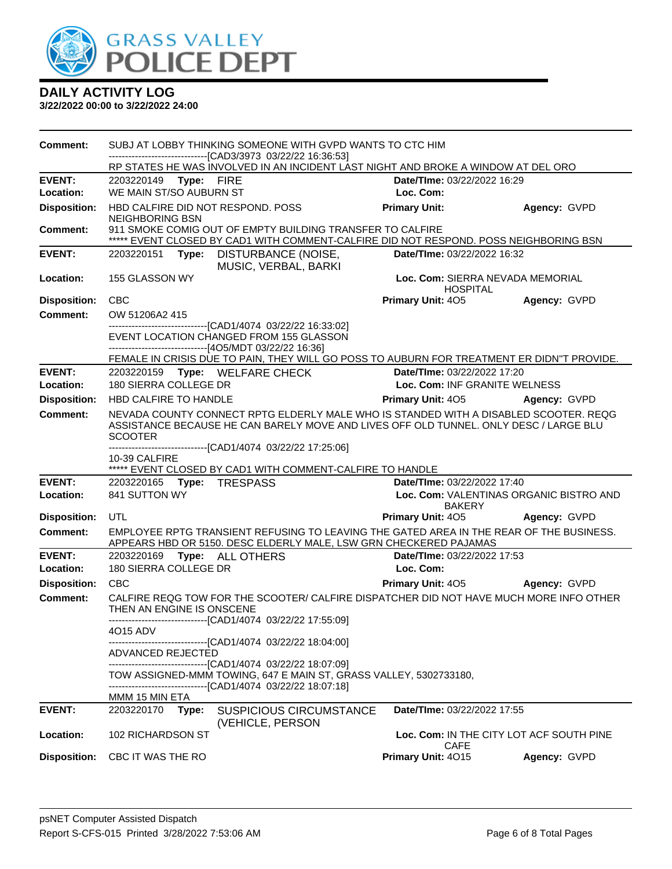

| Comment:                               | SUBJ AT LOBBY THINKING SOMEONE WITH GVPD WANTS TO CTC HIM<br>--------------------------------[CAD3/3973 03/22/22 16:36:53] |                                                                                                                                                                                   |                                          |  |  |  |
|----------------------------------------|----------------------------------------------------------------------------------------------------------------------------|-----------------------------------------------------------------------------------------------------------------------------------------------------------------------------------|------------------------------------------|--|--|--|
|                                        |                                                                                                                            | RP STATES HE WAS INVOLVED IN AN INCIDENT LAST NIGHT AND BROKE A WINDOW AT DEL ORO                                                                                                 |                                          |  |  |  |
| <b>EVENT:</b>                          | 2203220149 Type: FIRE                                                                                                      | Date/TIme: 03/22/2022 16:29                                                                                                                                                       |                                          |  |  |  |
| Location:                              | WE MAIN ST/SO AUBURN ST                                                                                                    | Loc. Com:                                                                                                                                                                         |                                          |  |  |  |
| <b>Disposition:</b>                    | HBD CALFIRE DID NOT RESPOND. POSS<br><b>NEIGHBORING BSN</b>                                                                | <b>Primary Unit:</b>                                                                                                                                                              | Agency: GVPD                             |  |  |  |
| <b>Comment:</b>                        |                                                                                                                            | 911 SMOKE COMIG OUT OF EMPTY BUILDING TRANSFER TO CALFIRE                                                                                                                         |                                          |  |  |  |
|                                        |                                                                                                                            | ***** EVENT CLOSED BY CAD1 WITH COMMENT-CALFIRE DID NOT RESPOND. POSS NEIGHBORING BSN                                                                                             |                                          |  |  |  |
| <b>EVENT:</b>                          | 2203220151 Type:                                                                                                           | Date/TIme: 03/22/2022 16:32<br>DISTURBANCE (NOISE,<br>MUSIC, VERBAL, BARKI                                                                                                        |                                          |  |  |  |
| Location:                              | 155 GLASSON WY                                                                                                             | <b>HOSPITAL</b>                                                                                                                                                                   | Loc. Com: SIERRA NEVADA MEMORIAL         |  |  |  |
| <b>Disposition:</b>                    | <b>CBC</b>                                                                                                                 | <b>Primary Unit: 405</b>                                                                                                                                                          | Agency: GVPD                             |  |  |  |
| <b>Comment:</b>                        | OW 51206A2 415                                                                                                             |                                                                                                                                                                                   |                                          |  |  |  |
|                                        | -------------------------------[CAD1/4074 03/22/22 16:33:02]<br>EVENT LOCATION CHANGED FROM 155 GLASSON                    |                                                                                                                                                                                   |                                          |  |  |  |
|                                        | ---------------------------------[4O5/MDT 03/22/22 16:36]                                                                  |                                                                                                                                                                                   |                                          |  |  |  |
|                                        |                                                                                                                            | FEMALE IN CRISIS DUE TO PAIN, THEY WILL GO POSS TO AUBURN FOR TREATMENT ER DIDN"T PROVIDE.                                                                                        |                                          |  |  |  |
| <b>EVENT:</b>                          | 2203220159 Type: WELFARE CHECK                                                                                             | Date/TIme: 03/22/2022 17:20                                                                                                                                                       |                                          |  |  |  |
| Location:                              | 180 SIERRA COLLEGE DR                                                                                                      |                                                                                                                                                                                   | Loc. Com: INF GRANITE WELNESS            |  |  |  |
| <b>Disposition:</b>                    | HBD CALFIRE TO HANDLE                                                                                                      | <b>Primary Unit: 405</b>                                                                                                                                                          | Agency: GVPD                             |  |  |  |
| <b>Comment:</b>                        | <b>SCOOTER</b>                                                                                                             | NEVADA COUNTY CONNECT RPTG ELDERLY MALE WHO IS STANDED WITH A DISABLED SCOOTER. REQG<br>ASSISTANCE BECAUSE HE CAN BARELY MOVE AND LIVES OFF OLD TUNNEL. ONLY DESC / LARGE BLU     |                                          |  |  |  |
|                                        | -------------------------------[CAD1/4074 03/22/22 17:25:06]                                                               |                                                                                                                                                                                   |                                          |  |  |  |
|                                        |                                                                                                                            |                                                                                                                                                                                   |                                          |  |  |  |
|                                        | 10-39 CALFIRE                                                                                                              |                                                                                                                                                                                   |                                          |  |  |  |
|                                        |                                                                                                                            | ***** EVENT CLOSED BY CAD1 WITH COMMENT-CALFIRE TO HANDLE                                                                                                                         |                                          |  |  |  |
| <b>EVENT:</b><br>Location:             | 2203220165 Type: TRESPASS<br>841 SUTTON WY                                                                                 | Date/TIme: 03/22/2022 17:40                                                                                                                                                       | Loc. Com: VALENTINAS ORGANIC BISTRO AND  |  |  |  |
|                                        |                                                                                                                            | <b>BAKERY</b>                                                                                                                                                                     |                                          |  |  |  |
| <b>Disposition:</b><br><b>Comment:</b> | UTL                                                                                                                        | Primary Unit: 405<br>EMPLOYEE RPTG TRANSIENT REFUSING TO LEAVING THE GATED AREA IN THE REAR OF THE BUSINESS.<br>APPEARS HBD OR 5150. DESC ELDERLY MALE, LSW GRN CHECKERED PAJAMAS | Agency: GVPD                             |  |  |  |
| <b>EVENT:</b>                          | 2203220169<br>Type: ALL OTHERS                                                                                             | Date/TIme: 03/22/2022 17:53                                                                                                                                                       |                                          |  |  |  |
| Location:                              | 180 SIERRA COLLEGE DR                                                                                                      | Loc. Com:                                                                                                                                                                         |                                          |  |  |  |
| <b>Disposition:</b>                    | <b>CBC</b>                                                                                                                 | <b>Primary Unit: 405</b>                                                                                                                                                          | Agency: GVPD                             |  |  |  |
| <b>Comment:</b>                        | THEN AN ENGINE IS ONSCENE                                                                                                  | CALFIRE REQG TOW FOR THE SCOOTER/ CALFIRE DISPATCHER DID NOT HAVE MUCH MORE INFO OTHER                                                                                            |                                          |  |  |  |
|                                        | -------------------------[CAD1/4074_03/22/22 17:55:09]<br>4015 ADV                                                         |                                                                                                                                                                                   |                                          |  |  |  |
|                                        | ----------------------------[CAD1/4074_03/22/22 18:04:00]<br><b>ADVANCED REJECTED</b>                                      |                                                                                                                                                                                   |                                          |  |  |  |
|                                        | -------------------------------[CAD1/4074 03/22/22 18:07:09]                                                               | TOW ASSIGNED-MMM TOWING, 647 E MAIN ST, GRASS VALLEY, 5302733180,                                                                                                                 |                                          |  |  |  |
|                                        | -------------------------------[CAD1/4074 03/22/22 18:07:18]                                                               |                                                                                                                                                                                   |                                          |  |  |  |
| <b>EVENT:</b>                          | MMM 15 MIN ETA<br>2203220170<br>Type:                                                                                      | Date/TIme: 03/22/2022 17:55<br><b>SUSPICIOUS CIRCUMSTANCE</b>                                                                                                                     |                                          |  |  |  |
| Location:                              | 102 RICHARDSON ST                                                                                                          | (VEHICLE, PERSON<br>CAFE                                                                                                                                                          | Loc. Com: IN THE CITY LOT ACF SOUTH PINE |  |  |  |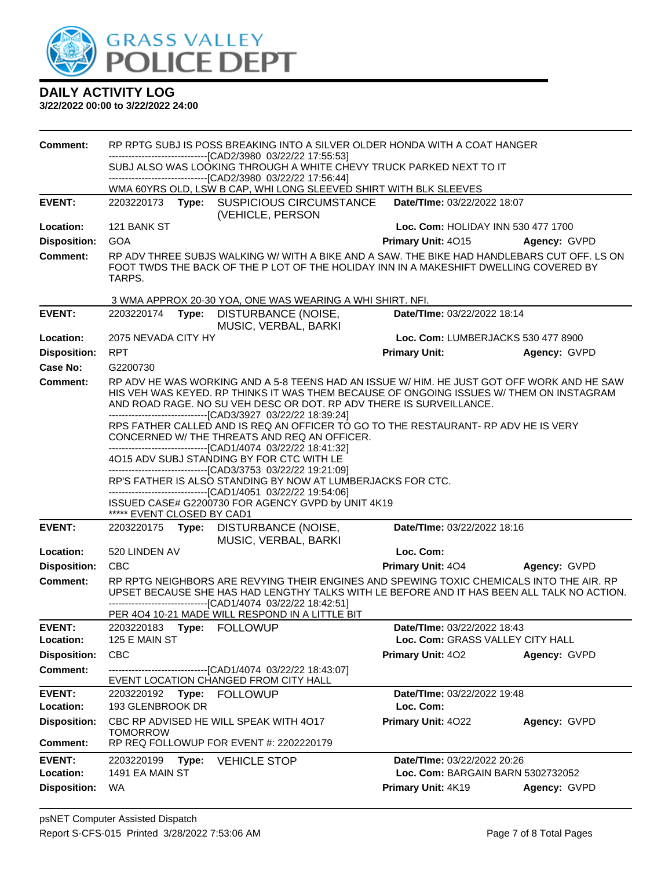

| <b>Comment:</b>            | RP RPTG SUBJ IS POSS BREAKING INTO A SILVER OLDER HONDA WITH A COAT HANGER                                                                                                                     |                                                                                                                                                                                              |                                                                                                                 |                                                                                                                                                                                                                                                              |              |  |
|----------------------------|------------------------------------------------------------------------------------------------------------------------------------------------------------------------------------------------|----------------------------------------------------------------------------------------------------------------------------------------------------------------------------------------------|-----------------------------------------------------------------------------------------------------------------|--------------------------------------------------------------------------------------------------------------------------------------------------------------------------------------------------------------------------------------------------------------|--------------|--|
|                            | -------------------------------[CAD2/3980_03/22/22 17:55:53]<br>SUBJ ALSO WAS LOOKING THROUGH A WHITE CHEVY TRUCK PARKED NEXT TO IT                                                            |                                                                                                                                                                                              |                                                                                                                 |                                                                                                                                                                                                                                                              |              |  |
|                            | -------------------------------[CAD2/3980 03/22/22 17:56:44]                                                                                                                                   |                                                                                                                                                                                              |                                                                                                                 |                                                                                                                                                                                                                                                              |              |  |
|                            |                                                                                                                                                                                                |                                                                                                                                                                                              | WMA 60YRS OLD, LSW B CAP, WHI LONG SLEEVED SHIRT WITH BLK SLEEVES                                               |                                                                                                                                                                                                                                                              |              |  |
| <b>EVENT:</b>              |                                                                                                                                                                                                |                                                                                                                                                                                              | 2203220173 Type: SUSPICIOUS CIRCUMSTANCE<br>(VEHICLE, PERSON                                                    | <b>Date/Time: 03/22/2022 18:07</b>                                                                                                                                                                                                                           |              |  |
| Location:                  | 121 BANK ST                                                                                                                                                                                    |                                                                                                                                                                                              |                                                                                                                 | Loc. Com: HOLIDAY INN 530 477 1700                                                                                                                                                                                                                           |              |  |
| <b>Disposition:</b>        | <b>GOA</b>                                                                                                                                                                                     |                                                                                                                                                                                              |                                                                                                                 | Primary Unit: 4015                                                                                                                                                                                                                                           | Agency: GVPD |  |
| <b>Comment:</b>            | RP ADV THREE SUBJS WALKING W/ WITH A BIKE AND A SAW. THE BIKE HAD HANDLEBARS CUT OFF. LS ON<br>FOOT TWDS THE BACK OF THE P LOT OF THE HOLIDAY INN IN A MAKESHIFT DWELLING COVERED BY<br>TARPS. |                                                                                                                                                                                              |                                                                                                                 |                                                                                                                                                                                                                                                              |              |  |
|                            |                                                                                                                                                                                                |                                                                                                                                                                                              | 3 WMA APPROX 20-30 YOA, ONE WAS WEARING A WHI SHIRT. NFI.                                                       |                                                                                                                                                                                                                                                              |              |  |
| <b>EVENT:</b>              | 2203220174                                                                                                                                                                                     |                                                                                                                                                                                              | Type: DISTURBANCE (NOISE,<br>MUSIC, VERBAL, BARKI                                                               | Date/TIme: 03/22/2022 18:14                                                                                                                                                                                                                                  |              |  |
| Location:                  | 2075 NEVADA CITY HY                                                                                                                                                                            |                                                                                                                                                                                              |                                                                                                                 | Loc. Com: LUMBERJACKS 530 477 8900                                                                                                                                                                                                                           |              |  |
| <b>Disposition:</b>        | <b>RPT</b>                                                                                                                                                                                     |                                                                                                                                                                                              |                                                                                                                 | <b>Primary Unit:</b>                                                                                                                                                                                                                                         | Agency: GVPD |  |
| <b>Case No:</b>            | G2200730                                                                                                                                                                                       |                                                                                                                                                                                              |                                                                                                                 |                                                                                                                                                                                                                                                              |              |  |
| Comment:                   |                                                                                                                                                                                                |                                                                                                                                                                                              | -------------------------------[CAD3/3927 03/22/22 18:39:24]                                                    | RP ADV HE WAS WORKING AND A 5-8 TEENS HAD AN ISSUE W/ HIM. HE JUST GOT OFF WORK AND HE SAW<br>HIS VEH WAS KEYED. RP THINKS IT WAS THEM BECAUSE OF ONGOING ISSUES W/ THEM ON INSTAGRAM<br>AND ROAD RAGE. NO SU VEH DESC OR DOT. RP ADV THERE IS SURVEILLANCE. |              |  |
|                            |                                                                                                                                                                                                |                                                                                                                                                                                              | CONCERNED W/ THE THREATS AND REQ AN OFFICER.<br>-------------------------------[CAD1/4074_03/22/22_18:41:32]    | RPS FATHER CALLED AND IS REQ AN OFFICER TO GO TO THE RESTAURANT- RP ADV HE IS VERY                                                                                                                                                                           |              |  |
|                            |                                                                                                                                                                                                |                                                                                                                                                                                              | 4O15 ADV SUBJ STANDING BY FOR CTC WITH LE                                                                       |                                                                                                                                                                                                                                                              |              |  |
|                            |                                                                                                                                                                                                | --------------------------------[CAD3/3753 03/22/22 19:21:09]<br>RP'S FATHER IS ALSO STANDING BY NOW AT LUMBERJACKS FOR CTC.<br>-------------------------------[CAD1/4051 03/22/22 19:54:06] |                                                                                                                 |                                                                                                                                                                                                                                                              |              |  |
|                            | ***** EVENT CLOSED BY CAD1                                                                                                                                                                     |                                                                                                                                                                                              | ISSUED CASE# G2200730 FOR AGENCY GVPD by UNIT 4K19                                                              |                                                                                                                                                                                                                                                              |              |  |
| <b>EVENT:</b>              |                                                                                                                                                                                                |                                                                                                                                                                                              | 2203220175 Type: DISTURBANCE (NOISE,<br>MUSIC, VERBAL, BARKI                                                    | Date/TIme: 03/22/2022 18:16                                                                                                                                                                                                                                  |              |  |
| Location:                  | 520 LINDEN AV                                                                                                                                                                                  |                                                                                                                                                                                              |                                                                                                                 | Loc. Com:                                                                                                                                                                                                                                                    |              |  |
| <b>Disposition:</b>        | <b>CBC</b>                                                                                                                                                                                     |                                                                                                                                                                                              |                                                                                                                 | <b>Primary Unit: 404</b>                                                                                                                                                                                                                                     | Agency: GVPD |  |
| <b>Comment:</b>            |                                                                                                                                                                                                |                                                                                                                                                                                              | -------------------------------[CAD1/4074_03/22/22 18:42:51]<br>PER 404 10-21 MADE WILL RESPOND IN A LITTLE BIT | RP RPTG NEIGHBORS ARE REVYING THEIR ENGINES AND SPEWING TOXIC CHEMICALS INTO THE AIR. RP<br>UPSET BECAUSE SHE HAS HAD LENGTHY TALKS WITH LE BEFORE AND IT HAS BEEN ALL TALK NO ACTION.                                                                       |              |  |
| <b>EVENT:</b>              |                                                                                                                                                                                                |                                                                                                                                                                                              | 2203220183 Type: FOLLOWUP                                                                                       | <b>Date/Time: 03/22/2022 18:43</b>                                                                                                                                                                                                                           |              |  |
| Location:                  | 125 E MAIN ST                                                                                                                                                                                  |                                                                                                                                                                                              |                                                                                                                 | Loc. Com: GRASS VALLEY CITY HALL                                                                                                                                                                                                                             |              |  |
| <b>Disposition:</b>        | <b>CBC</b>                                                                                                                                                                                     |                                                                                                                                                                                              |                                                                                                                 | <b>Primary Unit: 402</b>                                                                                                                                                                                                                                     | Agency: GVPD |  |
| Comment:                   |                                                                                                                                                                                                |                                                                                                                                                                                              | -------------------------------[CAD1/4074 03/22/22 18:43:07]<br>EVENT LOCATION CHANGED FROM CITY HALL           |                                                                                                                                                                                                                                                              |              |  |
| <b>EVENT:</b>              |                                                                                                                                                                                                |                                                                                                                                                                                              | 2203220192 Type: FOLLOWUP                                                                                       | Date/TIme: 03/22/2022 19:48                                                                                                                                                                                                                                  |              |  |
| Location:                  | 193 GLENBROOK DR                                                                                                                                                                               |                                                                                                                                                                                              |                                                                                                                 | Loc. Com:                                                                                                                                                                                                                                                    |              |  |
| <b>Disposition:</b>        | <b>TOMORROW</b>                                                                                                                                                                                |                                                                                                                                                                                              | CBC RP ADVISED HE WILL SPEAK WITH 4017                                                                          | Primary Unit: 4022                                                                                                                                                                                                                                           | Agency: GVPD |  |
| <b>Comment:</b>            |                                                                                                                                                                                                |                                                                                                                                                                                              | RP REQ FOLLOWUP FOR EVENT #: 2202220179                                                                         |                                                                                                                                                                                                                                                              |              |  |
| <b>EVENT:</b><br>Location: | Date/TIme: 03/22/2022 20:26<br>2203220199<br>Type: VEHICLE STOP<br>1491 EA MAIN ST<br>Loc. Com: BARGAIN BARN 5302732052                                                                        |                                                                                                                                                                                              |                                                                                                                 |                                                                                                                                                                                                                                                              |              |  |
|                            |                                                                                                                                                                                                |                                                                                                                                                                                              |                                                                                                                 |                                                                                                                                                                                                                                                              |              |  |